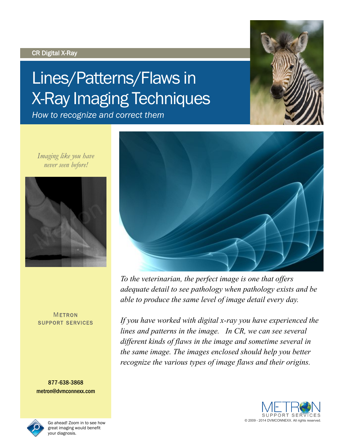#### CR Digital X-Ray

# Lines/Patterns/Flaws in X-Ray Imaging Techniques

*How to recognize and correct them*

*Imaging like you have never seen before!*



#### **METRON** SUPPORT SERVICES

877-638-3868 metron@dvmconnexx.com



Go ahead! Zoom in to see how great imaging would benefit your diagnosis.



*To the veterinarian, the perfect image is one that offers adequate detail to see pathology when pathology exists and be able to produce the same level of image detail every day.* 

*If you have worked with digital x-ray you have experienced the lines and patterns in the image. In CR, we can see several different kinds of flaws in the image and sometime several in the same image. The images enclosed should help you better recognize the various types of image flaws and their origins.*



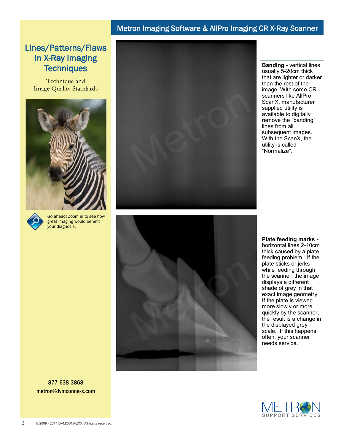# Lines/Patterns/Flaws In X-Ray Imaging **Techniques**

Technique and Image Quality Standards





Go ahead! Zoom in to see how great imaging would benefit your diagnosis.





**Banding -** vertical lines usually 5-20cm thick that are lighter or darker than the rest of the image. With some CR scanners like AllPro ScanX, manufacturer supplied utility is available to digitally remove the "banding" lines from all subsequent images. With the ScanX, the utility is called "Normalize".

**Plate feeding marks**  horizontal lines 2-10cm thick caused by a plate feeding problem. If the plate sticks or jerks while feeding through the scanner, the image displays a different shade of grey in that exact image geometry. If the plate is viewed more slowly or more quickly by the scanner, the result is a change in the displayed grey scale. If this happens often, your scanner needs service.

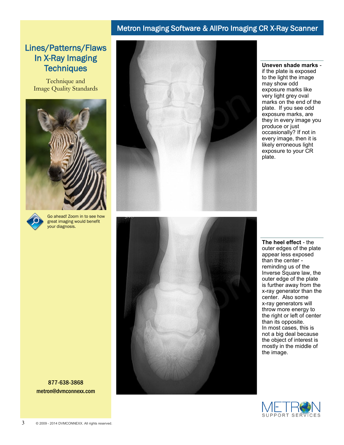# Lines/Patterns/Flaws In X-Ray Imaging **Techniques**

Technique and Image Quality Standards





Go ahead! Zoom in to see how great imaging would benefit your diagnosis.







**Uneven shade marks** if the plate is exposed to the light the image may show odd exposure marks like very light grey oval marks on the end of the plate. If you see odd exposure marks, are they in every image you produce or just occasionally? If not in every image, then it is likely erroneous light exposure to your CR plate.

**The heel effect** - the outer edges of the plate appear less exposed than the center reminding us of the Inverse Square law, the outer edge of the plate is further away from the x-ray generator than the center. Also some x-ray generators will throw more energy to the right or left of center than its opposite. In most cases, this is not a big deal because the object of interest is mostly in the middle of the image.

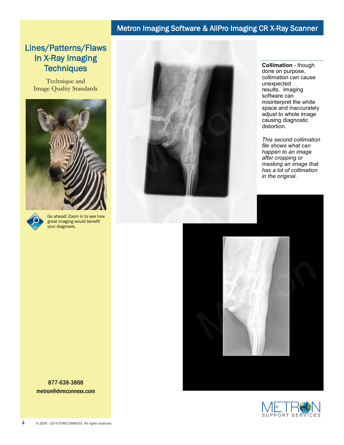# Lines/Patterns/Flaws In X-Ray Imaging **Techniques**

Technique and Image Quality Standards





Go ahead! Zoom in to see how great imaging would benefit your diagnosis.



**Collimation** - though done on purpose, collimation can cause unexpected results. Imaging software can misinterpret the white space and inaccurately adjust to whole image causing diagnostic distortion.

*This second collimation file shows what can happen to an image after cropping or masking an image that has a lot of collimation in the original.*



SUPPORT SERVICES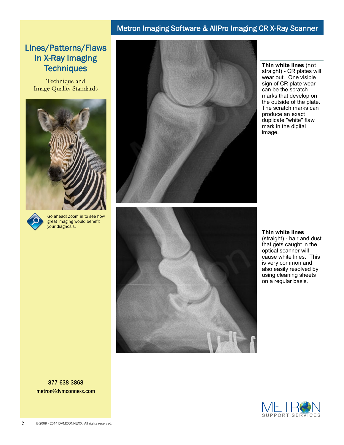# Lines/Patterns/Flaws In X-Ray Imaging **Techniques**

Technique and Image Quality Standards





Go ahead! Zoom in to see how great imaging would benefit your diagnosis.





**Thin white lines** (not straight) - CR plates will wear out. One visible sign of CR plate wear can be the scratch marks that develop on the outside of the plate. The scratch marks can produce an exact duplicate "white" flaw mark in the digital image.

**Thin white lines** (straight) - hair and dust that gets caught in the optical scanner will cause white lines. This is very common and also easily resolved by using cleaning sheets on a regular basis.